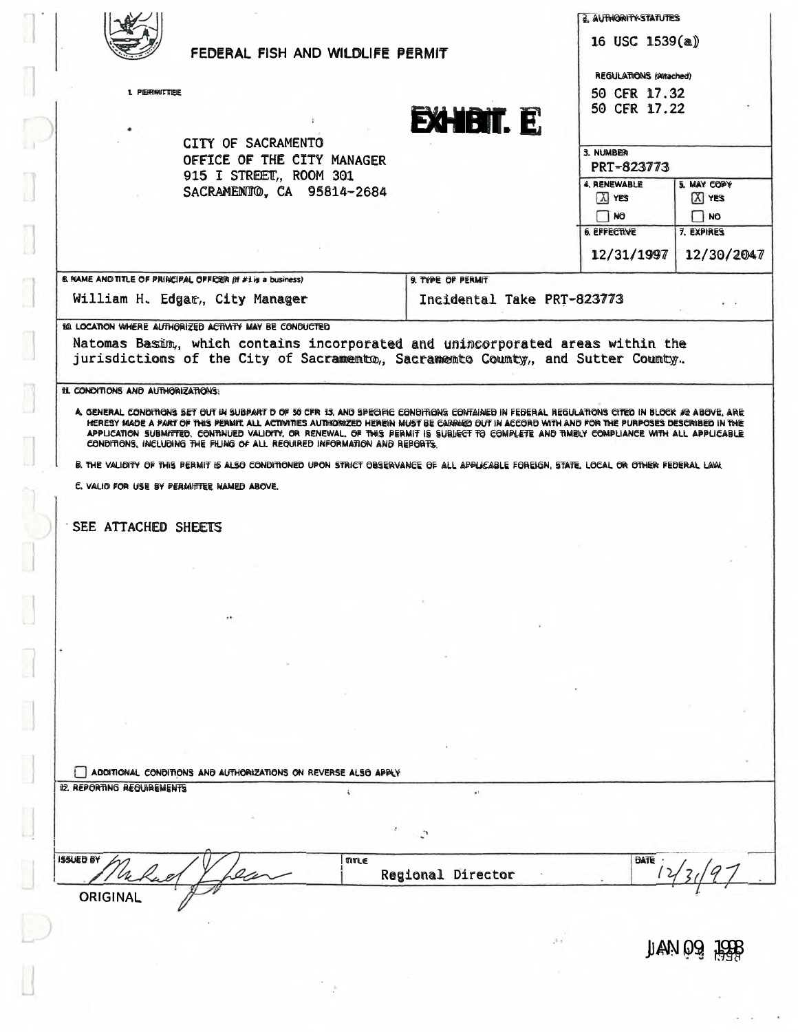|                                    |                                                                                                                         | FEDERAL FISH AND WILDLIFE PERMIT |                                                                                                                                                                                                                                                                                                                                                                                                                                          |                                                               |                                |  |
|------------------------------------|-------------------------------------------------------------------------------------------------------------------------|----------------------------------|------------------------------------------------------------------------------------------------------------------------------------------------------------------------------------------------------------------------------------------------------------------------------------------------------------------------------------------------------------------------------------------------------------------------------------------|---------------------------------------------------------------|--------------------------------|--|
| 1. PERMITTEE                       |                                                                                                                         |                                  | <b>EXHIBIT E</b>                                                                                                                                                                                                                                                                                                                                                                                                                         | <b>REGULATIONS (Attached)</b><br>50 CFR 17.32<br>50 CFR 17.22 |                                |  |
|                                    | CITY OF SACRAMENTO<br>OFFICE OF THE CITY MANAGER<br>915 I STREET, ROOM 301                                              |                                  |                                                                                                                                                                                                                                                                                                                                                                                                                                          | 3. NUMBER                                                     | <b>PRT-823773</b>              |  |
|                                    |                                                                                                                         | SACRAMENTIO, CA 95814-2684       |                                                                                                                                                                                                                                                                                                                                                                                                                                          | 4. RENEWABLE<br>A YES                                         | 5. MAY COPY<br>$X$ YES         |  |
|                                    |                                                                                                                         |                                  |                                                                                                                                                                                                                                                                                                                                                                                                                                          | NO<br><b>6. EFFECTIVE</b><br>12/31/1997                       | NO<br>7. EXPIRES<br>12/30/2047 |  |
|                                    | 6. NAME AND TITLE OF PRINCIPAL OFFICER (If #1 is a business)                                                            |                                  | 9. TYPE OF PERMIT                                                                                                                                                                                                                                                                                                                                                                                                                        |                                                               |                                |  |
|                                    | William H. Edgar, City Manager                                                                                          |                                  | Incidental Take PRT=823773                                                                                                                                                                                                                                                                                                                                                                                                               |                                                               |                                |  |
| 11L CONDITIONS AND AUTHORIZATIONS: |                                                                                                                         |                                  | jurisdictions of the City of Sacramento, Sacramento County, and Sutter County.                                                                                                                                                                                                                                                                                                                                                           |                                                               |                                |  |
|                                    |                                                                                                                         |                                  | A. GENERAL CONDITIONS SET OUT IN SUBPART D OF 50 CFR 13, AND SPECIFIC CONDITIONS CONTAINED IN FEDERAL REGULATIONS CITED IN BLOCK #2 ABOVE, ARE<br>HERESY MADE A PART OF THIS PERMIT. ALL ACTIVITIES AUTHORIZED HEREIN MUST BE CARRIED OUT IN ACCORD WITH AND FOR THE PURPOSES DESCRIBED IN THE<br>APPLICATION SUBMITTED. CONTINUED VALIDITY, OR RENEWAL, OF THIS PERMIT IS SUBJECT TO COMPLETE AND TIMELY COMPLIANCE WITH ALL APPLICABLE |                                                               |                                |  |
|                                    | CONDITIONS, INCLUDING THE FILING OF ALL REQUIRED INFORMATION AND REPORTS.<br>C. VALIO FOR USE BY PERMITTEE NAMED ABOVE. |                                  | B. THE VALIDITY OF THIS PERMIT IS ALSO CONDITIONED UPON STRICT OBSERVANCE OF ALL APPLICABLE FOREIGN, STATE, LOCAL OR OTHER FEDERAL LAW.                                                                                                                                                                                                                                                                                                  |                                                               |                                |  |
| <b>SEE ATTACHED SHEETS</b>         |                                                                                                                         |                                  |                                                                                                                                                                                                                                                                                                                                                                                                                                          |                                                               |                                |  |
|                                    |                                                                                                                         |                                  |                                                                                                                                                                                                                                                                                                                                                                                                                                          |                                                               |                                |  |
|                                    |                                                                                                                         |                                  |                                                                                                                                                                                                                                                                                                                                                                                                                                          |                                                               |                                |  |
|                                    |                                                                                                                         |                                  |                                                                                                                                                                                                                                                                                                                                                                                                                                          |                                                               |                                |  |
|                                    |                                                                                                                         |                                  |                                                                                                                                                                                                                                                                                                                                                                                                                                          |                                                               |                                |  |
|                                    |                                                                                                                         |                                  |                                                                                                                                                                                                                                                                                                                                                                                                                                          |                                                               |                                |  |
|                                    |                                                                                                                         |                                  |                                                                                                                                                                                                                                                                                                                                                                                                                                          |                                                               |                                |  |
|                                    |                                                                                                                         |                                  |                                                                                                                                                                                                                                                                                                                                                                                                                                          |                                                               |                                |  |
|                                    |                                                                                                                         |                                  |                                                                                                                                                                                                                                                                                                                                                                                                                                          |                                                               |                                |  |
| 12. REPORTING REQUIREMENTS         | ADDITIONAL CONDITIONS AND AUTHORIZATIONS ON REVERSE ALSO APPLY                                                          | í.                               | $\lambda$                                                                                                                                                                                                                                                                                                                                                                                                                                |                                                               |                                |  |
|                                    |                                                                                                                         |                                  |                                                                                                                                                                                                                                                                                                                                                                                                                                          |                                                               |                                |  |
| <b>ISSUED BY</b>                   |                                                                                                                         | TITLE                            | Regional Director                                                                                                                                                                                                                                                                                                                                                                                                                        | DATE                                                          |                                |  |

 $\mathbb{R}_{+}$ 

 $\mathcal{L} \rightarrow \mathcal{L}$ 

 $\left\lbrack \right\rbrack$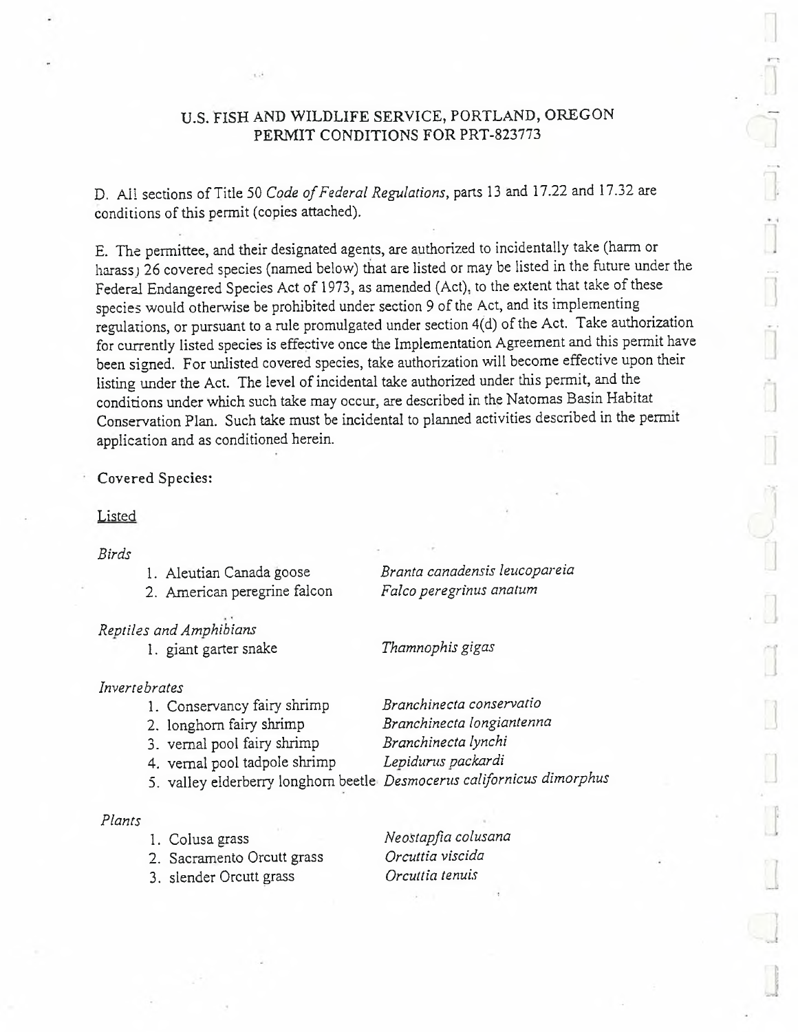# U.S. FISH AND WILDLIFE SERVICE, PORTLAND, OREGON PERMIT CONDITIONS FOR PRT-823773

D. All sections of Title 50 *Code of Federal Regulations*, parts 13 and 17.22 and 17.32 are conditions of this permit (copies attached).

E. The permittee, and their designated agents, are authorized to incidentally take (harm or harass) 26 covered species (named below) that are listed or may be listed in the future under the Federal Endangered Species Act of 1973, as amended (Act), to the extent that take of these species would otherwise be prohibited under section 9 of the Act, and its implementing regulations, or pursuant to a rule promulgated under section 4(d) of the Act. Take authorization for currently listed species is effective once the Implementation Agreement and this permit have been signed. For unlisted covered species, take authorization will become effective upon their listing under the Act. The level of incidental take authorized under this permit, and the conditions under which such take may occur, are described in the Natomas Basin Habitat Conservation Plan. Such take must be incidental to planned activities described in the permit application and as conditioned herein.

### Covered Species:

## **Listed**

#### *Birds*

| 1. Aleutian Canada goose<br>2. American peregrine falcon               | Branta canadensis leucopareia<br>Falco peregrinus anatum |
|------------------------------------------------------------------------|----------------------------------------------------------|
| Reptiles and Amphibians<br>1. giant garter snake                       | Thamnophis gigas                                         |
| Invertebrates                                                          |                                                          |
| 1. Conservancy fairy shrimp                                            | Branchinecta conservatio                                 |
| 2. longhorn fairy shrimp                                               | Branchinecta longiantenna                                |
| 3. vernal pool fairy shrimp                                            | Branchinecta lynchi                                      |
| 4. vernal pool tadpole shrimp                                          | Lepidurus packardi                                       |
| 5. valley elderberry longhorn beetle Desmocerus californicus dimorphus |                                                          |
|                                                                        |                                                          |

### *Plants*

- 
- 
- 3. slender Orcutt grass

1. Colusa grass *Neostapfia colusana* 2. Sacramento Orcutt grass *Orcuttia viscida*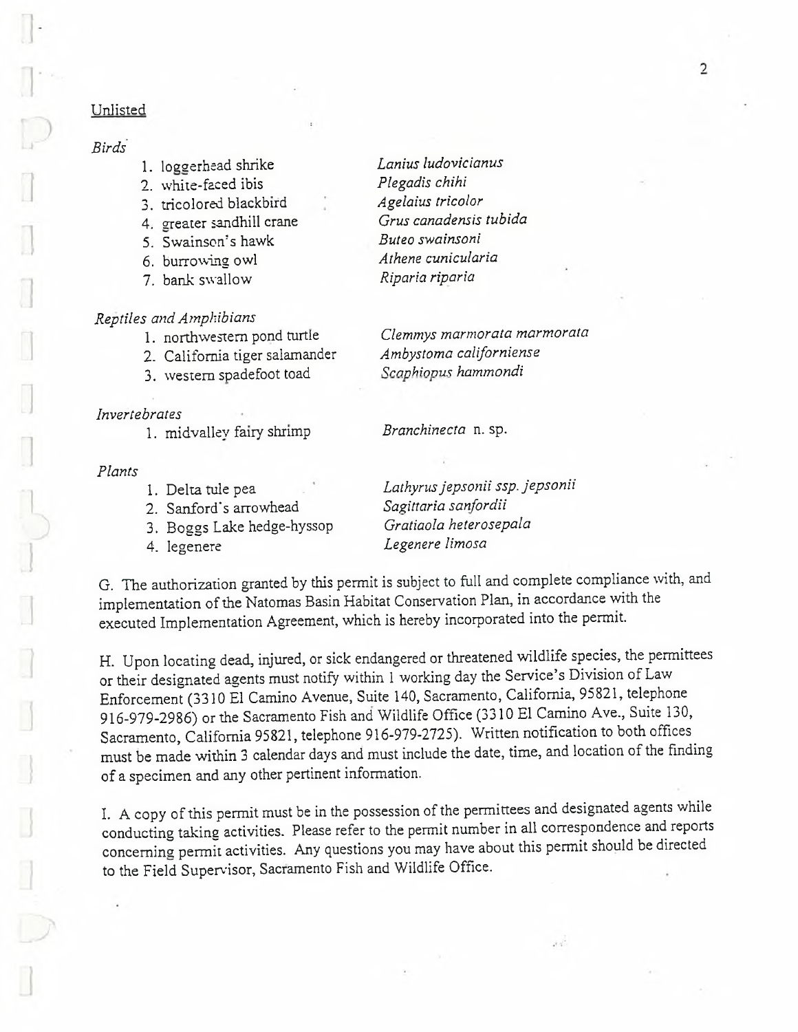# Unlisted

- 
- 
- 3. tricolored blackbird
- 
- 5. Swainson's hawk *Buteo swainsoni*
- 
- 7. bank swallow *Riparia riparia*

- *Reptiles and Amphibians*
	-
	- 3. western spadefoot toad *Scaphiopus hammondi*

*Invertebrates* 1. midvalley fairy shrimp *Branchinecta* n. sp.

#### *Plants*

- 
- 
- 3. Boggs Lake hedge-hyssop *Gratiaola heterosepala*
- 

*Birds* 1. loggerhead shrike *Lanins ludovicianus* 2. white-faced ibis *Plegadis chihi* 4. greater sandhill crane *Grus canadensis tubida* 6. burrowing owl *Athene cunicularia*

> Clemmys marmorata marmorata<br>Ambystoma californiense 2. California tiger salamander *Ambystoma californien*<br>3. western spadefoot toad *Scaphiopus hammondi*

1. Delta tule pea *Lathyrus jepsonii ssp. jepsonii* 2. Sanford's arrowhead *Sagittaria sanfordii* 4. legenere *Legenere limosa*

 $\mathcal{A} \subset \mathcal{A}$ 

G. The authorization granted by this permit is subject to full and complete compliance with, and implementation of the Natomas Basin Habitat Conservation Plan, in accordance with the executed Implementation Agreement, which is hereby incorporated into the permit.

H. Upon locating dead, injured, or sick endangered or threatened wildlife species, the permittees or their designated agents must notify within 1 working day the Service's Division of Law Enforcement (3310 El Camino Avenue, Suite 140, Sacramento, California, 95821, telephone 916-979-2986) or the Sacramento Fish and Wildlife Office (3310 El Camino Ave., Suite 130, Sacramento, California 95821, telephone 916-979-2725). Written notification to both offices must be made within 3 calendar days and must include the date, time, and location of the finding of a specimen and any other pertinent information.

I. A copy of this permit must be in the possession of the permittees and designated agents while conducting taking activities. Please refer to the permit number in all correspondence and reports concerning permit activities. Any questions you may have about this permit should be directed to the Field Supervisor, Sacramento Fish and Wildlife Office.